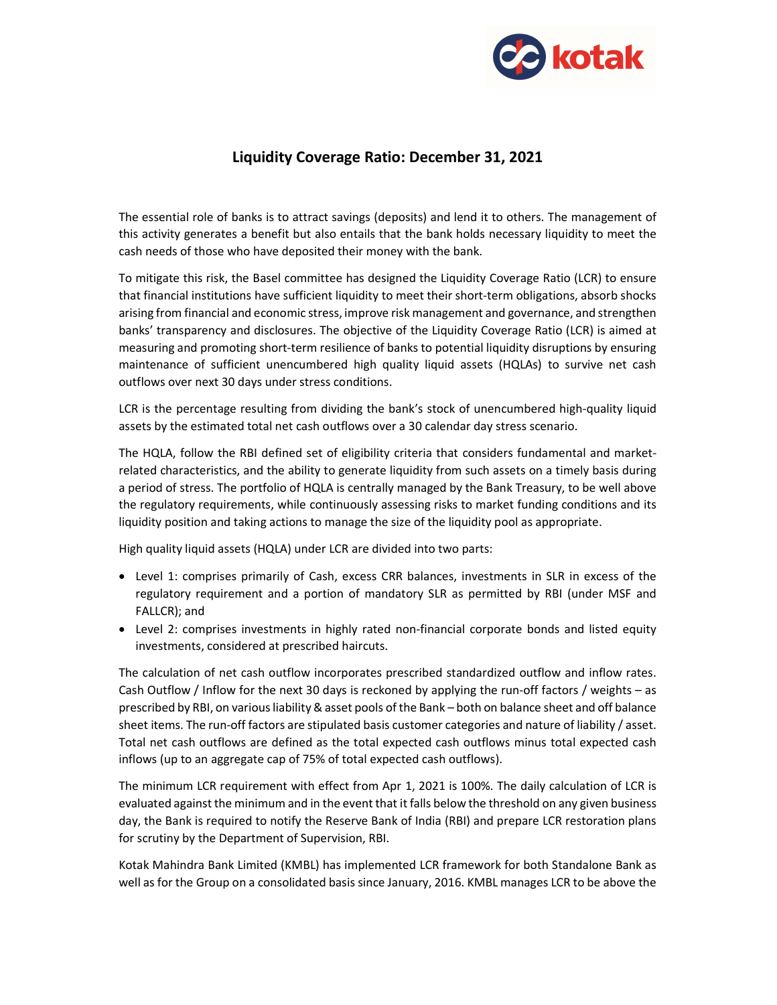

## Liquidity Coverage Ratio: December 31, 2021

The essential role of banks is to attract savings (deposits) and lend it to others. The management of this activity generates a benefit but also entails that the bank holds necessary liquidity to meet the cash needs of those who have deposited their money with the bank.

To mitigate this risk, the Basel committee has designed the Liquidity Coverage Ratio (LCR) to ensure that financial institutions have sufficient liquidity to meet their short-term obligations, absorb shocks arising from financial and economic stress, improve risk management and governance, and strengthen banks' transparency and disclosures. The objective of the Liquidity Coverage Ratio (LCR) is aimed at measuring and promoting short-term resilience of banks to potential liquidity disruptions by ensuring maintenance of sufficient unencumbered high quality liquid assets (HQLAs) to survive net cash outflows over next 30 days under stress conditions.

LCR is the percentage resulting from dividing the bank's stock of unencumbered high-quality liquid assets by the estimated total net cash outflows over a 30 calendar day stress scenario.

The HQLA, follow the RBI defined set of eligibility criteria that considers fundamental and marketrelated characteristics, and the ability to generate liquidity from such assets on a timely basis during a period of stress. The portfolio of HQLA is centrally managed by the Bank Treasury, to be well above the regulatory requirements, while continuously assessing risks to market funding conditions and its liquidity position and taking actions to manage the size of the liquidity pool as appropriate.

High quality liquid assets (HQLA) under LCR are divided into two parts:

- Level 1: comprises primarily of Cash, excess CRR balances, investments in SLR in excess of the regulatory requirement and a portion of mandatory SLR as permitted by RBI (under MSF and FALLCR); and
- Level 2: comprises investments in highly rated non-financial corporate bonds and listed equity investments, considered at prescribed haircuts.

The calculation of net cash outflow incorporates prescribed standardized outflow and inflow rates. Cash Outflow / Inflow for the next 30 days is reckoned by applying the run-off factors / weights – as prescribed by RBI, on various liability & asset pools of the Bank – both on balance sheet and off balance sheet items. The run-off factors are stipulated basis customer categories and nature of liability / asset. Total net cash outflows are defined as the total expected cash outflows minus total expected cash inflows (up to an aggregate cap of 75% of total expected cash outflows).

The minimum LCR requirement with effect from Apr 1, 2021 is 100%. The daily calculation of LCR is evaluated against the minimum and in the event that it falls below the threshold on any given business day, the Bank is required to notify the Reserve Bank of India (RBI) and prepare LCR restoration plans for scrutiny by the Department of Supervision, RBI.

Kotak Mahindra Bank Limited (KMBL) has implemented LCR framework for both Standalone Bank as well as for the Group on a consolidated basis since January, 2016. KMBL manages LCR to be above the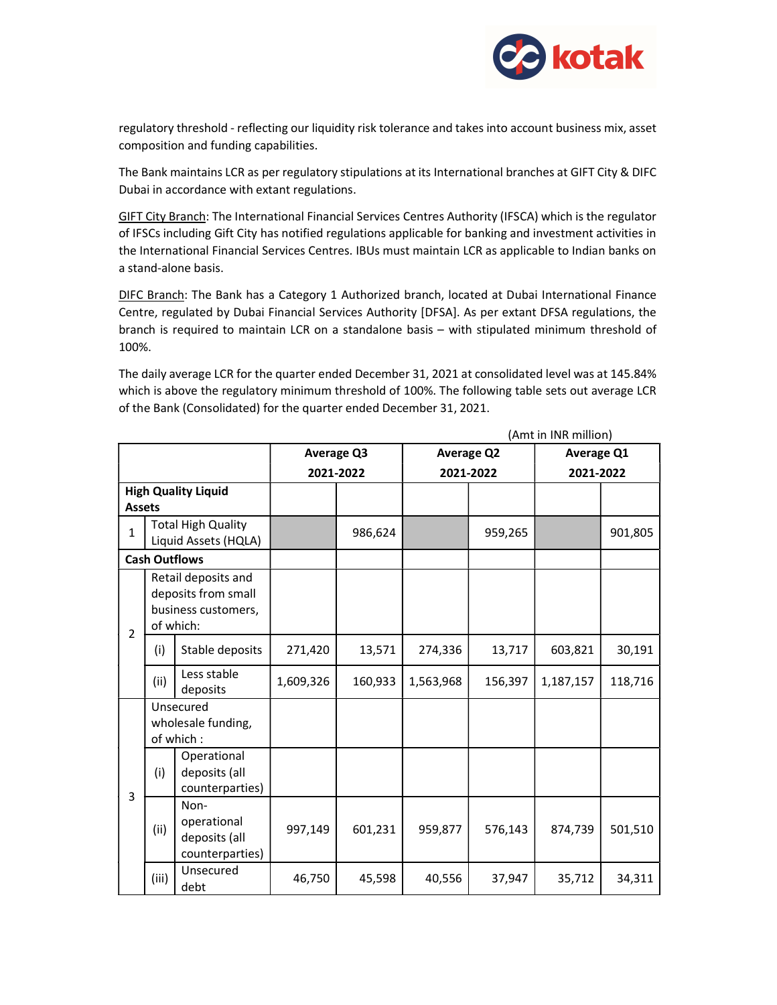

regulatory threshold - reflecting our liquidity risk tolerance and takes into account business mix, asset composition and funding capabilities.

The Bank maintains LCR as per regulatory stipulations at its International branches at GIFT City & DIFC Dubai in accordance with extant regulations.

GIFT City Branch: The International Financial Services Centres Authority (IFSCA) which is the regulator of IFSCs including Gift City has notified regulations applicable for banking and investment activities in the International Financial Services Centres. IBUs must maintain LCR as applicable to Indian banks on a stand-alone basis.

DIFC Branch: The Bank has a Category 1 Authorized branch, located at Dubai International Finance Centre, regulated by Dubai Financial Services Authority [DFSA]. As per extant DFSA regulations, the branch is required to maintain LCR on a standalone basis – with stipulated minimum threshold of 100%.

The daily average LCR for the quarter ended December 31, 2021 at consolidated level was at 145.84% which is above the regulatory minimum threshold of 100%. The following table sets out average LCR of the Bank (Consolidated) for the quarter ended December 31, 2021.

|                            | (Amt in INR million)                                                           |                                                         |            |         |                   |         |                   |         |  |  |
|----------------------------|--------------------------------------------------------------------------------|---------------------------------------------------------|------------|---------|-------------------|---------|-------------------|---------|--|--|
|                            |                                                                                |                                                         | Average Q3 |         | <b>Average Q2</b> |         | <b>Average Q1</b> |         |  |  |
|                            |                                                                                |                                                         | 2021-2022  |         | 2021-2022         |         | 2021-2022         |         |  |  |
| <b>High Quality Liquid</b> |                                                                                |                                                         |            |         |                   |         |                   |         |  |  |
| <b>Assets</b>              |                                                                                |                                                         |            |         |                   |         |                   |         |  |  |
| $\overline{1}$             | <b>Total High Quality</b><br>Liquid Assets (HQLA)                              |                                                         |            | 986,624 |                   | 959,265 |                   | 901,805 |  |  |
| <b>Cash Outflows</b>       |                                                                                |                                                         |            |         |                   |         |                   |         |  |  |
| $\overline{2}$             | Retail deposits and<br>deposits from small<br>business customers,<br>of which: |                                                         |            |         |                   |         |                   |         |  |  |
|                            | (i)                                                                            | Stable deposits                                         | 271,420    | 13,571  | 274,336           | 13,717  | 603,821           | 30,191  |  |  |
|                            | (ii)                                                                           | Less stable<br>deposits                                 | 1,609,326  | 160,933 | 1,563,968         | 156,397 | 1,187,157         | 118,716 |  |  |
| 3                          | Unsecured<br>wholesale funding,<br>of which:                                   |                                                         |            |         |                   |         |                   |         |  |  |
|                            | (i)                                                                            | Operational<br>deposits (all<br>counterparties)         |            |         |                   |         |                   |         |  |  |
|                            | (ii)                                                                           | Non-<br>operational<br>deposits (all<br>counterparties) | 997,149    | 601,231 | 959,877           | 576,143 | 874,739           | 501,510 |  |  |
|                            | (iii)                                                                          | Unsecured<br>debt                                       | 46,750     | 45,598  | 40,556            | 37,947  | 35,712            | 34,311  |  |  |